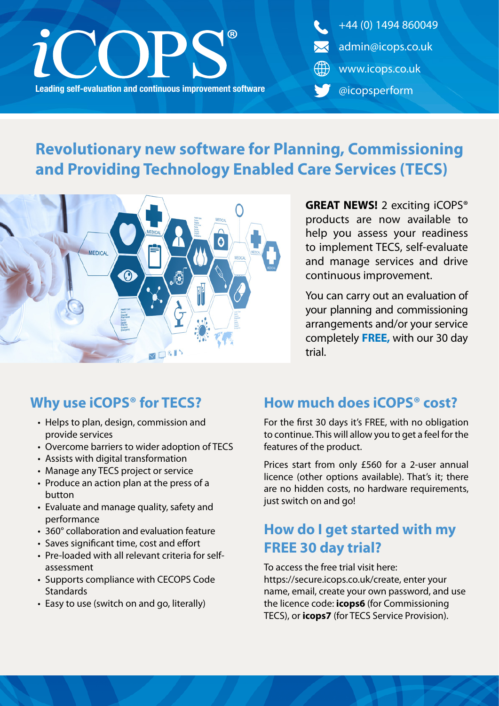

+44 (0) 1494 860049 admin@icops.co.uk www.icops.co.uk @icopsperform

# **Revolutionary new software for Planning, Commissioning and Providing Technology Enabled Care Services (TECS)**



**GREAT NEWS!** 2 exciting iCOPS® products are now available to help you assess your readiness to implement TECS, self-evaluate and manage services and drive continuous improvement.

You can carry out an evaluation of your planning and commissioning arrangements and/or your service completely **FREE,** with our 30 day trial.

#### **Why use iCOPS® for TECS?**

- Helps to plan, design, commission and provide services
- Overcome barriers to wider adoption of TECS
- Assists with digital transformation
- Manage any TECS project or service
- Produce an action plan at the press of a button
- Evaluate and manage quality, safety and performance
- 360° collaboration and evaluation feature
- Saves significant time, cost and effort
- Pre-loaded with all relevant criteria for selfassessment
- Supports compliance with CECOPS Code **Standards**
- Easy to use (switch on and go, literally)

#### **How much does iCOPS® cost?**

For the first 30 days it's FREE, with no obligation to continue. This will allow you to get a feel for the features of the product.

Prices start from only £560 for a 2-user annual licence (other options available). That's it; there are no hidden costs, no hardware requirements, just switch on and go!

### **How do I get started with my FREE 30 day trial?**

To access the free trial visit here: https://secure.icops.co.uk/create, enter your name, email, create your own password, and use the licence code: **icops6** (for Commissioning TECS), or **icops7** (for TECS Service Provision).